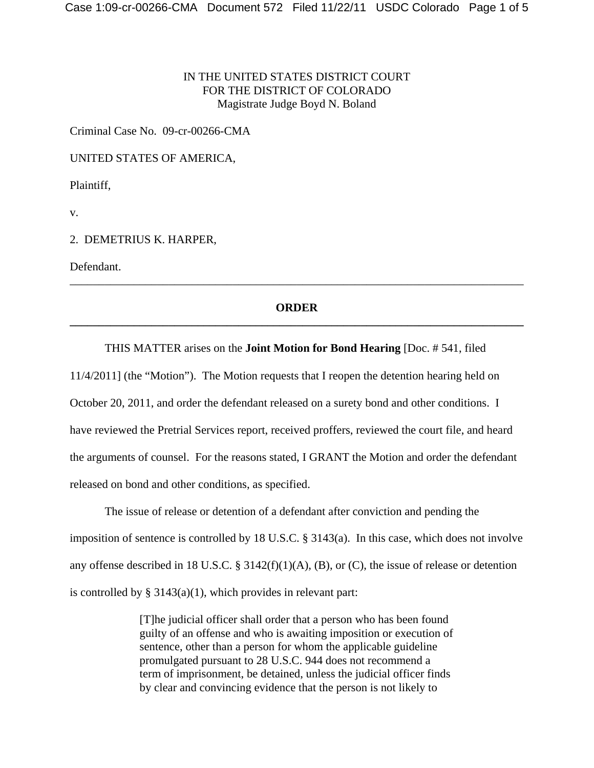## IN THE UNITED STATES DISTRICT COURT FOR THE DISTRICT OF COLORADO Magistrate Judge Boyd N. Boland

Criminal Case No. 09-cr-00266-CMA

UNITED STATES OF AMERICA,

Plaintiff,

v.

### 2. DEMETRIUS K. HARPER,

Defendant.

# **ORDER \_\_\_\_\_\_\_\_\_\_\_\_\_\_\_\_\_\_\_\_\_\_\_\_\_\_\_\_\_\_\_\_\_\_\_\_\_\_\_\_\_\_\_\_\_\_\_\_\_\_\_\_\_\_\_\_\_\_\_\_\_\_\_\_\_\_\_\_\_\_\_\_\_\_\_\_\_\_**

\_\_\_\_\_\_\_\_\_\_\_\_\_\_\_\_\_\_\_\_\_\_\_\_\_\_\_\_\_\_\_\_\_\_\_\_\_\_\_\_\_\_\_\_\_\_\_\_\_\_\_\_\_\_\_\_\_\_\_\_\_\_\_\_\_\_\_\_\_\_\_\_\_\_\_\_\_\_

#### THIS MATTER arises on the **Joint Motion for Bond Hearing** [Doc. # 541, filed

11/4/2011] (the "Motion"). The Motion requests that I reopen the detention hearing held on October 20, 2011, and order the defendant released on a surety bond and other conditions. I have reviewed the Pretrial Services report, received proffers, reviewed the court file, and heard the arguments of counsel. For the reasons stated, I GRANT the Motion and order the defendant released on bond and other conditions, as specified.

The issue of release or detention of a defendant after conviction and pending the imposition of sentence is controlled by 18 U.S.C. § 3143(a). In this case, which does not involve any offense described in 18 U.S.C. § 3142(f)(1)(A), (B), or (C), the issue of release or detention is controlled by  $\S 3143(a)(1)$ , which provides in relevant part:

> [T]he judicial officer shall order that a person who has been found guilty of an offense and who is awaiting imposition or execution of sentence, other than a person for whom the applicable guideline promulgated pursuant to 28 U.S.C. 944 does not recommend a term of imprisonment, be detained, unless the judicial officer finds by clear and convincing evidence that the person is not likely to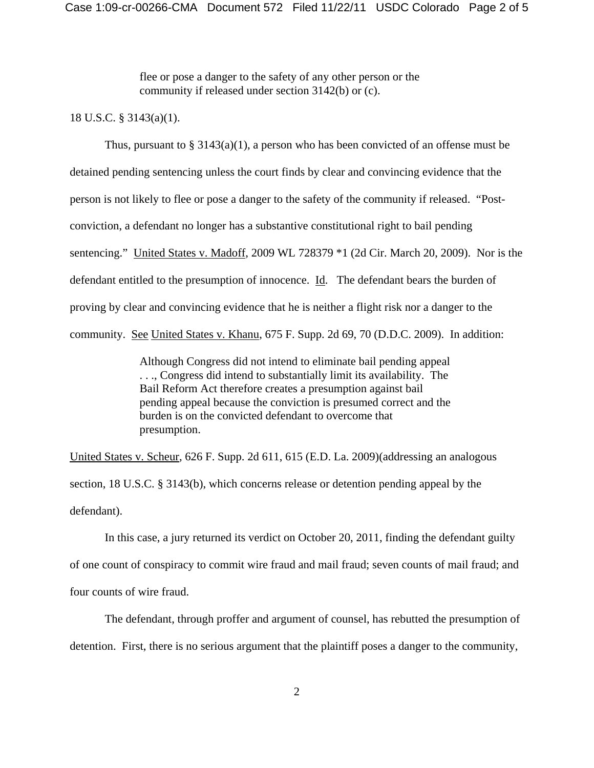flee or pose a danger to the safety of any other person or the community if released under section 3142(b) or (c).

#### 18 U.S.C. § 3143(a)(1).

Thus, pursuant to  $\S 3143(a)(1)$ , a person who has been convicted of an offense must be detained pending sentencing unless the court finds by clear and convincing evidence that the person is not likely to flee or pose a danger to the safety of the community if released. "Postconviction, a defendant no longer has a substantive constitutional right to bail pending sentencing." United States v. Madoff, 2009 WL 728379 \*1 (2d Cir. March 20, 2009). Nor is the defendant entitled to the presumption of innocence. Id. The defendant bears the burden of proving by clear and convincing evidence that he is neither a flight risk nor a danger to the community. See United States v. Khanu, 675 F. Supp. 2d 69, 70 (D.D.C. 2009). In addition:

> Although Congress did not intend to eliminate bail pending appeal . . ., Congress did intend to substantially limit its availability. The Bail Reform Act therefore creates a presumption against bail pending appeal because the conviction is presumed correct and the burden is on the convicted defendant to overcome that presumption.

United States v. Scheur, 626 F. Supp. 2d 611, 615 (E.D. La. 2009)(addressing an analogous section, 18 U.S.C. § 3143(b), which concerns release or detention pending appeal by the defendant).

In this case, a jury returned its verdict on October 20, 2011, finding the defendant guilty of one count of conspiracy to commit wire fraud and mail fraud; seven counts of mail fraud; and four counts of wire fraud.

The defendant, through proffer and argument of counsel, has rebutted the presumption of detention. First, there is no serious argument that the plaintiff poses a danger to the community,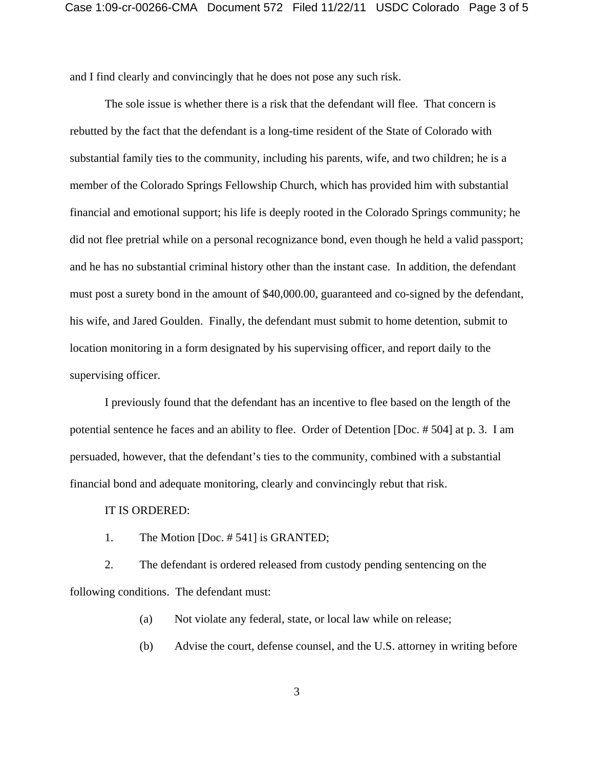and I find clearly and convincingly that he does not pose any such risk.

The sole issue is whether there is a risk that the defendant will flee. That concern is rebutted by the fact that the defendant is a long-time resident of the State of Colorado with substantial family ties to the community, including his parents, wife, and two children; he is a member of the Colorado Springs Fellowship Church, which has provided him with substantial financial and emotional support; his life is deeply rooted in the Colorado Springs community; he did not flee pretrial while on a personal recognizance bond, even though he held a valid passport; and he has no substantial criminal history other than the instant case. In addition, the defendant must post a surety bond in the amount of \$40,000.00, guaranteed and co-signed by the defendant, his wife, and Jared Goulden. Finally, the defendant must submit to home detention, submit to location monitoring in a form designated by his supervising officer, and report daily to the supervising officer.

I previously found that the defendant has an incentive to flee based on the length of the potential sentence he faces and an ability to flee. Order of Detention [Doc. # 504] at p. 3. I am persuaded, however, that the defendant's ties to the community, combined with a substantial financial bond and adequate monitoring, clearly and convincingly rebut that risk.

#### IT IS ORDERED:

1. The Motion [Doc. # 541] is GRANTED;

2. The defendant is ordered released from custody pending sentencing on the following conditions. The defendant must:

(a) Not violate any federal, state, or local law while on release;

(b) Advise the court, defense counsel, and the U.S. attorney in writing before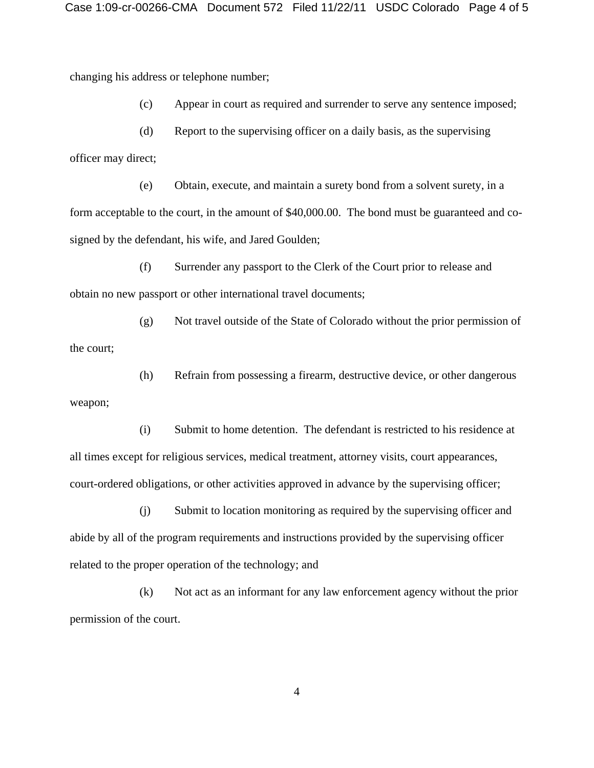changing his address or telephone number;

weapon;

(c) Appear in court as required and surrender to serve any sentence imposed;

(d) Report to the supervising officer on a daily basis, as the supervising officer may direct;

(e) Obtain, execute, and maintain a surety bond from a solvent surety, in a form acceptable to the court, in the amount of \$40,000.00. The bond must be guaranteed and cosigned by the defendant, his wife, and Jared Goulden;

(f) Surrender any passport to the Clerk of the Court prior to release and obtain no new passport or other international travel documents;

(g) Not travel outside of the State of Colorado without the prior permission of the court;

(h) Refrain from possessing a firearm, destructive device, or other dangerous

(i) Submit to home detention. The defendant is restricted to his residence at all times except for religious services, medical treatment, attorney visits, court appearances, court-ordered obligations, or other activities approved in advance by the supervising officer;

(j) Submit to location monitoring as required by the supervising officer and abide by all of the program requirements and instructions provided by the supervising officer related to the proper operation of the technology; and

(k) Not act as an informant for any law enforcement agency without the prior permission of the court.

4